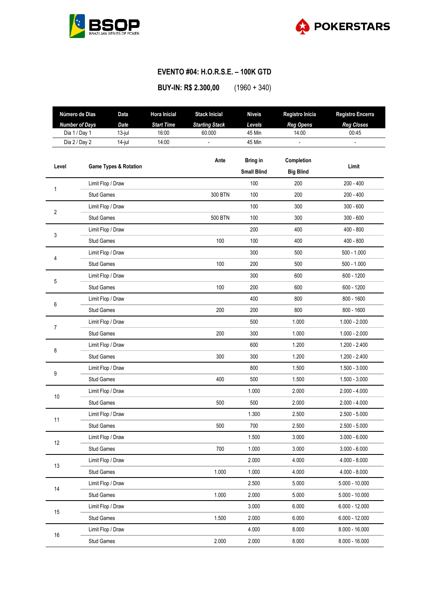



## **EVENTO #04: H.O.R.S.E. – 100K GTD**

**BUY-IN: R\$ 2.300,00** (1960 + 340)

|            | Número de Dias                   | Data              | <b>Hora Inicial</b> | <b>Stack Inicial</b>  | <b>Níveis</b>      | Registro Inicia  | Registro Encerra  |
|------------|----------------------------------|-------------------|---------------------|-----------------------|--------------------|------------------|-------------------|
|            | <b>Number of Days</b>            | Date              | <b>Start Time</b>   | <b>Starting Stack</b> | Levels             | <b>Reg Opens</b> | <b>Reg Closes</b> |
|            | Dia 1 / Day 1                    | 13-jul            | 16:00               | 60.000                | 45 Min             | 14:00            | 00:45             |
|            | Dia 2 / Day 2                    | 14-jul            | 14:00               |                       | 45 Min             |                  |                   |
|            |                                  |                   |                     | Ante                  | <b>Bring in</b>    | Completion       |                   |
| Level      | <b>Game Types &amp; Rotation</b> |                   |                     |                       | <b>Small Blind</b> | <b>Big Blind</b> | Limit             |
|            |                                  | Limit Flop / Draw |                     |                       | 100                | 200              | $200 - 400$       |
| 1          | <b>Stud Games</b>                |                   |                     | 300 BTN               | 100                | 200              | $200 - 400$       |
| $\sqrt{2}$ |                                  | Limit Flop / Draw |                     |                       | 100                | 300              | $300 - 600$       |
|            | <b>Stud Games</b>                |                   |                     | <b>500 BTN</b>        | 100                | 300              | $300 - 600$       |
| 3          |                                  | Limit Flop / Draw |                     |                       | 200                | 400              | $400 - 800$       |
|            | <b>Stud Games</b>                |                   |                     | 100                   | 100                | 400              | $400 - 800$       |
| 4          |                                  | Limit Flop / Draw |                     |                       | 300                | 500              | $500 - 1.000$     |
|            | <b>Stud Games</b>                |                   |                     | 100                   | 200                | 500              | $500 - 1.000$     |
| 5          |                                  | Limit Flop / Draw |                     |                       | 300                | 600              | 600 - 1200        |
|            | <b>Stud Games</b>                |                   |                     | 100                   | 200                | 600              | 600 - 1200        |
| 6          |                                  | Limit Flop / Draw |                     |                       | 400                | 800              | 800 - 1600        |
|            | <b>Stud Games</b>                |                   |                     | 200                   | 200                | 800              | 800 - 1600        |
| 7          |                                  | Limit Flop / Draw |                     |                       | 500                | 1.000            | $1.000 - 2.000$   |
|            | <b>Stud Games</b>                |                   |                     | 200                   | 300                | 1.000            | $1.000 - 2.000$   |
| 8          |                                  | Limit Flop / Draw |                     |                       | 600                | 1.200            | $1.200 - 2.400$   |
|            | <b>Stud Games</b>                |                   |                     | 300                   | 300                | 1.200            | $1.200 - 2.400$   |
| 9          |                                  | Limit Flop / Draw |                     |                       | 800                | 1.500            | $1.500 - 3.000$   |
|            | <b>Stud Games</b>                |                   |                     | 400                   | 500                | 1.500            | $1.500 - 3.000$   |
| 10         |                                  | Limit Flop / Draw |                     |                       | 1.000              | 2.000            | $2.000 - 4.000$   |
|            | Stud Games                       |                   |                     | 500                   | 500                | 2.000            | $2.000 - 4.000$   |
| 11         |                                  | Limit Flop / Draw |                     |                       | 1.300              | 2.500            | $2.500 - 5.000$   |
|            | <b>Stud Games</b>                |                   |                     | 500                   | 700                | 2.500            | $2.500 - 5.000$   |
| 12         |                                  | Limit Flop / Draw |                     |                       | 1.500              | 3.000            | $3.000 - 6.000$   |
|            | Stud Games                       |                   |                     | 700                   | 1.000              | 3.000            | $3.000 - 6.000$   |
| 13         |                                  | Limit Flop / Draw |                     |                       | 2.000              | 4.000            | $4.000 - 8.000$   |
|            | Stud Games                       |                   |                     | 1.000                 | 1.000              | 4.000            | $4.000 - 8.000$   |
|            |                                  | Limit Flop / Draw |                     |                       | 2.500              | 5.000            | $5.000 - 10.000$  |
| 14         | <b>Stud Games</b>                |                   |                     | 1.000                 | 2.000              | 5.000            | $5.000 - 10.000$  |
| 15         |                                  | Limit Flop / Draw |                     |                       | 3.000              | 6.000            | $6.000 - 12.000$  |
|            | Stud Games                       |                   |                     | 1.500                 | 2.000              | 6.000            | $6.000 - 12.000$  |
| 16         |                                  | Limit Flop / Draw |                     |                       | 4.000              | 8.000            | $8.000 - 16.000$  |
|            | Stud Games                       |                   |                     | 2.000                 | 2.000              | 8.000            | $8.000 - 16.000$  |